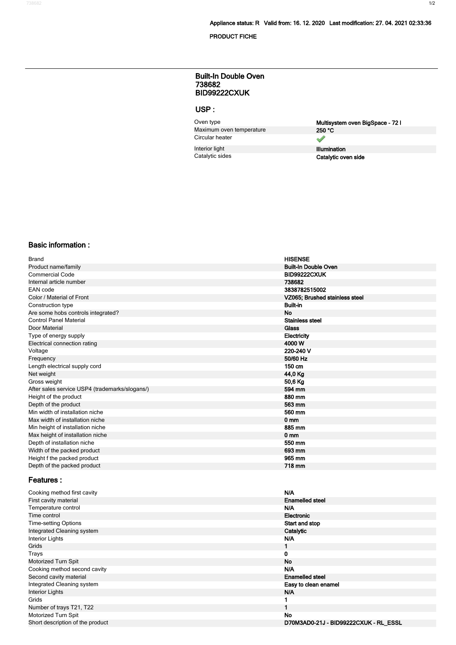**PRODUCT FICHE**

#### **738682 BID99222CXUK Built-In Double Oven**

## **USP :**

Oven type<br>
Multisystem oven **BigSpace - 72 l**<br>
Maximum oven temperature<br>
250 °C **Maximum oven temperature** Circular heater

**Interior light Illumination**<br> **Catalytic sides**<br> **Catalytic sides** 

 $\overline{\mathscr{S}}$ 

**Catalytic oven side** 

#### **Basic information :**

| <b>Brand</b>                                   | <b>HISENSE</b>                 |
|------------------------------------------------|--------------------------------|
| Product name/family                            | <b>Built-In Double Oven</b>    |
| Commercial Code                                | <b>BID99222CXUK</b>            |
| Internal article number                        | 738682                         |
| EAN code                                       | 3838782515002                  |
| Color / Material of Front                      | VZ065; Brushed stainless steel |
| Construction type                              | <b>Built-in</b>                |
| Are some hobs controls integrated?             | <b>No</b>                      |
| <b>Control Panel Material</b>                  | <b>Stainless steel</b>         |
| Door Material                                  | Glass                          |
| Type of energy supply                          | Electricity                    |
| Electrical connection rating                   | 4000 W                         |
| Voltage                                        | 220-240 V                      |
| Frequency                                      | 50/60 Hz                       |
| Length electrical supply cord                  | 150 cm                         |
| Net weight                                     | 44,0 Kg                        |
| Gross weight                                   | 50,6 Kg                        |
| After sales service USP4 (trademarks/slogans/) | 594 mm                         |
| Height of the product                          | 880 mm                         |
| Depth of the product                           | 563 mm                         |
| Min width of installation niche                | 560 mm                         |
| Max width of installation niche                | 0 <sub>mm</sub>                |
| Min height of installation niche               | 885 mm                         |
| Max height of installation niche               | 0 <sub>mm</sub>                |
| Depth of installation niche                    | 550 mm                         |
| Width of the packed product                    | 693 mm                         |
| Height f the packed product                    | 965 mm                         |
| Depth of the packed product                    | 718 mm                         |
|                                                |                                |

### **Features :**

| Cooking method first cavity      | N/A                                   |
|----------------------------------|---------------------------------------|
| First cavity material            | <b>Enamelled steel</b>                |
| Temperature control              | N/A                                   |
| Time control                     | Electronic                            |
| <b>Time-setting Options</b>      | Start and stop                        |
| Integrated Cleaning system       | Catalytic                             |
| Interior Lights                  | N/A                                   |
| Grids                            |                                       |
| Trays                            | 0                                     |
| Motorized Turn Spit              | <b>No</b>                             |
| Cooking method second cavity     | N/A                                   |
| Second cavity material           | <b>Enamelled steel</b>                |
| Integrated Cleaning system       | Easy to clean enamel                  |
| <b>Interior Lights</b>           | <b>N/A</b>                            |
| Grids                            |                                       |
| Number of trays T21, T22         |                                       |
| Motorized Turn Spit              | <b>No</b>                             |
| Short description of the product | D70M3AD0-21J - BID99222CXUK - RL ESSL |
|                                  |                                       |